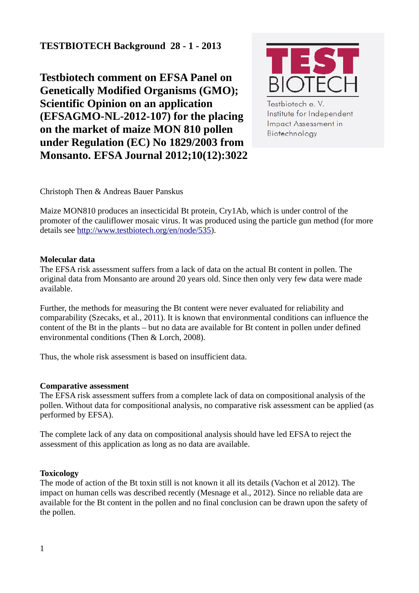# **TESTBIOTECH Background 28 - 1 - 2013**

**Testbiotech comment on EFSA Panel on Genetically Modified Organisms (GMO); Scientific Opinion on an application (EFSAGMO-NL-2012-107) for the placing on the market of maize MON 810 pollen under Regulation (EC) No 1829/2003 from Monsanto. EFSA Journal 2012;10(12):3022**



Testbiotech e.V. Institute for Independent Impact Assessment in Biotechnology

Christoph Then & Andreas Bauer Panskus

Maize MON810 produces an insecticidal Bt protein, Cry1Ab, which is under control of the promoter of the cauliflower mosaic virus. It was produced using the particle gun method (for more details see [http://www.testbiotech.org/en/node/535\)](http://www.testbiotech.org/en/node/535).

# **Molecular data**

The EFSA risk assessment suffers from a lack of data on the actual Bt content in pollen. The original data from Monsanto are around 20 years old. Since then only very few data were made available.

Further, the methods for measuring the Bt content were never evaluated for reliability and comparability (Szecaks, et al., 2011). It is known that environmental conditions can influence the content of the Bt in the plants – but no data are available for Bt content in pollen under defined environmental conditions (Then & Lorch, 2008).

Thus, the whole risk assessment is based on insufficient data.

# **Comparative assessment**

The EFSA risk assessment suffers from a complete lack of data on compositional analysis of the pollen. Without data for compositional analysis, no comparative risk assessment can be applied (as performed by EFSA).

The complete lack of any data on compositional analysis should have led EFSA to reject the assessment of this application as long as no data are available.

# **Toxicology**

The mode of action of the Bt toxin still is not known it all its details (Vachon et al 2012). The impact on human cells was described recently (Mesnage et al., 2012). Since no reliable data are available for the Bt content in the pollen and no final conclusion can be drawn upon the safety of the pollen.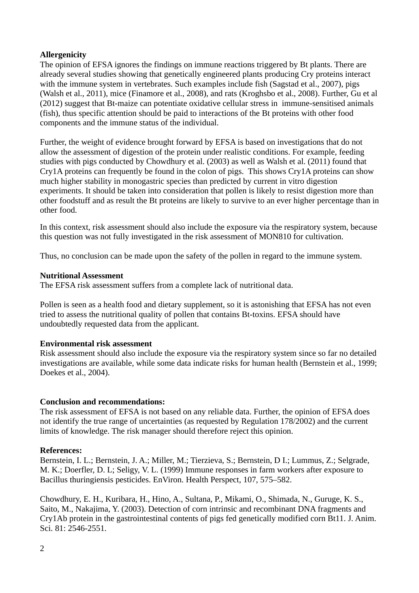# **Allergenicity**

The opinion of EFSA ignores the findings on immune reactions triggered by Bt plants. There are already several studies showing that genetically engineered plants producing Cry proteins interact with the immune system in vertebrates. Such examples include fish (Sagstad et al., 2007), pigs (Walsh et al., 2011), mice (Finamore et al., 2008), and rats (Kroghsbo et al., 2008). Further, Gu et al (2012) suggest that Bt-maize can potentiate oxidative cellular stress in immune-sensitised animals (fish), thus specific attention should be paid to interactions of the Bt proteins with other food components and the immune status of the individual.

Further, the weight of evidence brought forward by EFSA is based on investigations that do not allow the assessment of digestion of the protein under realistic conditions. For example, feeding studies with pigs conducted by Chowdhury et al. (2003) as well as Walsh et al. (2011) found that Cry1A proteins can frequently be found in the colon of pigs. This shows Cry1A proteins can show much higher stability in monogastric species than predicted by current in vitro digestion experiments. It should be taken into consideration that pollen is likely to resist digestion more than other foodstuff and as result the Bt proteins are likely to survive to an ever higher percentage than in other food.

In this context, risk assessment should also include the exposure via the respiratory system, because this question was not fully investigated in the risk assessment of MON810 for cultivation.

Thus, no conclusion can be made upon the safety of the pollen in regard to the immune system.

#### **Nutritional Assessment**

The EFSA risk assessment suffers from a complete lack of nutritional data.

Pollen is seen as a health food and dietary supplement, so it is astonishing that EFSA has not even tried to assess the nutritional quality of pollen that contains Bt-toxins. EFSA should have undoubtedly requested data from the applicant.

# **Environmental risk assessment**

Risk assessment should also include the exposure via the respiratory system since so far no detailed investigations are available, while some data indicate risks for human health (Bernstein et al., 1999; Doekes et al., 2004).

# **Conclusion and recommendations:**

The risk assessment of EFSA is not based on any reliable data. Further, the opinion of EFSA does not identify the true range of uncertainties (as requested by Regulation 178/2002) and the current limits of knowledge. The risk manager should therefore reject this opinion.

# **References:**

Bernstein, I. L.; Bernstein, J. A.; Miller, M.; Tierzieva, S.; Bernstein, D I.; Lummus, Z.; Selgrade, M. K.; Doerfler, D. L; Seligy, V. L. (1999) Immune responses in farm workers after exposure to Bacillus thuringiensis pesticides. EnViron. Health Perspect, 107, 575–582.

Chowdhury, E. H., Kuribara, H., Hino, A., Sultana, P., Mikami, O., Shimada, N., Guruge, K. S., Saito, M., Nakajima, Y. (2003). Detection of corn intrinsic and recombinant DNA fragments and Cry1Ab protein in the gastrointestinal contents of pigs fed genetically modified corn Bt11. J. Anim. Sci. 81: 2546-2551.